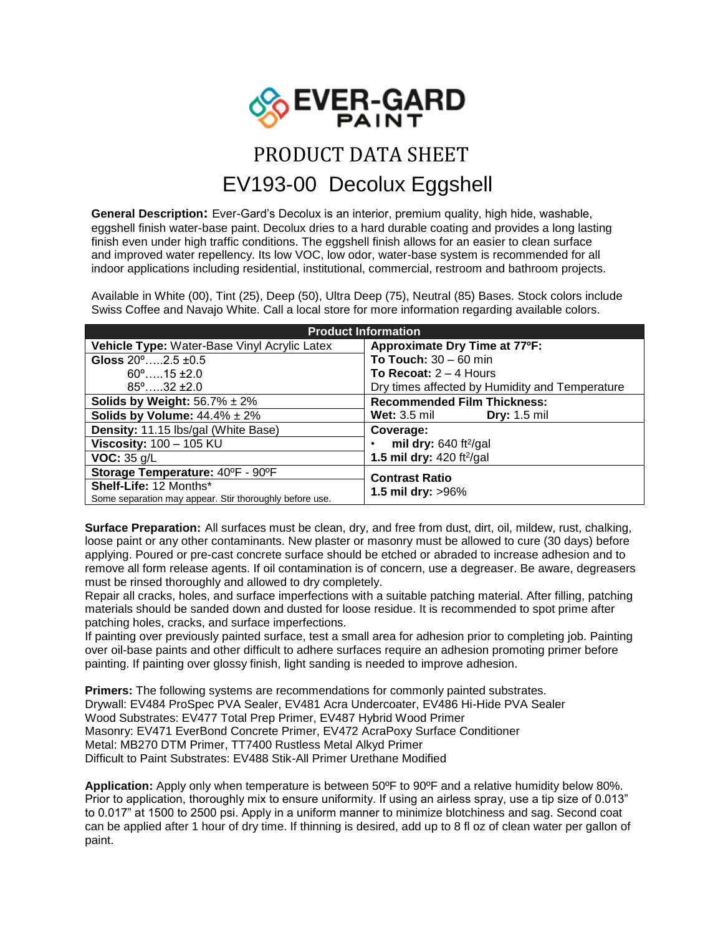

## PRODUCT DATA SHEET EV193-00Decolux Eggshell

**General Description:** Ever-Gard's Decolux is an interior, premium quality, high hide, washable, eggshell finish water-base paint. Decolux dries to a hard durable coating and provides a long lasting finish even under high traffic conditions. The eggshell finish allows for an easier to clean surface and improved water repellency. Its low VOC, low odor, water-base system is recommended for all indoor applications including residential, institutional, commercial, restroom and bathroom projects.

Available in White (00), Tint (25), Deep (50), Ultra Deep (75), Neutral (85) Bases. Stock colors include Swiss Coffee and Navajo White. Call a local store for more information regarding available colors.

| <b>Product Information</b>                              |                                                |
|---------------------------------------------------------|------------------------------------------------|
| Vehicle Type: Water-Base Vinyl Acrylic Latex            | Approximate Dry Time at 77°F:                  |
| Gloss $20^{\circ}$ $2.5 \pm 0.5$                        | To Touch: $30 - 60$ min                        |
| $60^{\circ}$ 15 ±2.0                                    | To Recoat: $2 - 4$ Hours                       |
| $85^{\circ}$ 32 $\pm 2.0$                               | Dry times affected by Humidity and Temperature |
| Solids by Weight: $56.7\% \pm 2\%$                      | <b>Recommended Film Thickness:</b>             |
| Solids by Volume: $44.4\% \pm 2\%$                      | <b>Wet:</b> 3.5 mil<br><b>Dry:</b> 1.5 mil     |
| <b>Density: 11.15 lbs/gal (White Base)</b>              | Coverage:                                      |
| Viscosity: $100 - 105$ KU                               | mil dry: $640 \text{ ft}^2\text{/gal}$         |
| VOC: 35 g/L                                             | 1.5 mil dry: $420$ ft <sup>2</sup> /gal        |
| Storage Temperature: 40°F - 90°F                        | <b>Contrast Ratio</b><br>1.5 mil dry: $>96\%$  |
| <b>Shelf-Life: 12 Months*</b>                           |                                                |
| Some separation may appear. Stir thoroughly before use. |                                                |

**Surface Preparation:** All surfaces must be clean, dry, and free from dust, dirt, oil, mildew, rust, chalking, loose paint or any other contaminants. New plaster or masonry must be allowed to cure (30 days) before applying. Poured or pre-cast concrete surface should be etched or abraded to increase adhesion and to remove all form release agents. If oil contamination is of concern, use a degreaser. Be aware, degreasers must be rinsed thoroughly and allowed to dry completely.

Repair all cracks, holes, and surface imperfections with a suitable patching material. After filling, patching materials should be sanded down and dusted for loose residue. It is recommended to spot prime after patching holes, cracks, and surface imperfections.

If painting over previously painted surface, test a small area for adhesion prior to completing job. Painting over oil-base paints and other difficult to adhere surfaces require an adhesion promoting primer before painting. If painting over glossy finish, light sanding is needed to improve adhesion.

**Primers:** The following systems are recommendations for commonly painted substrates. Drywall: EV484 ProSpec PVA Sealer, EV481 Acra Undercoater, EV486 Hi-Hide PVA Sealer Wood Substrates: EV477 Total Prep Primer, EV487 Hybrid Wood Primer Masonry: EV471 EverBond Concrete Primer, EV472 AcraPoxy Surface Conditioner Metal: MB270 DTM Primer, TT7400 Rustless Metal Alkyd Primer Difficult to Paint Substrates: EV488 Stik-All Primer Urethane Modified

**Application:** Apply only when temperature is between 50ºF to 90ºF and a relative humidity below 80%. Prior to application, thoroughly mix to ensure uniformity. If using an airless spray, use a tip size of 0.013" to 0.017" at 1500 to 2500 psi. Apply in a uniform manner to minimize blotchiness and sag. Second coat can be applied after 1 hour of dry time. If thinning is desired, add up to 8 fl oz of clean water per gallon of paint.